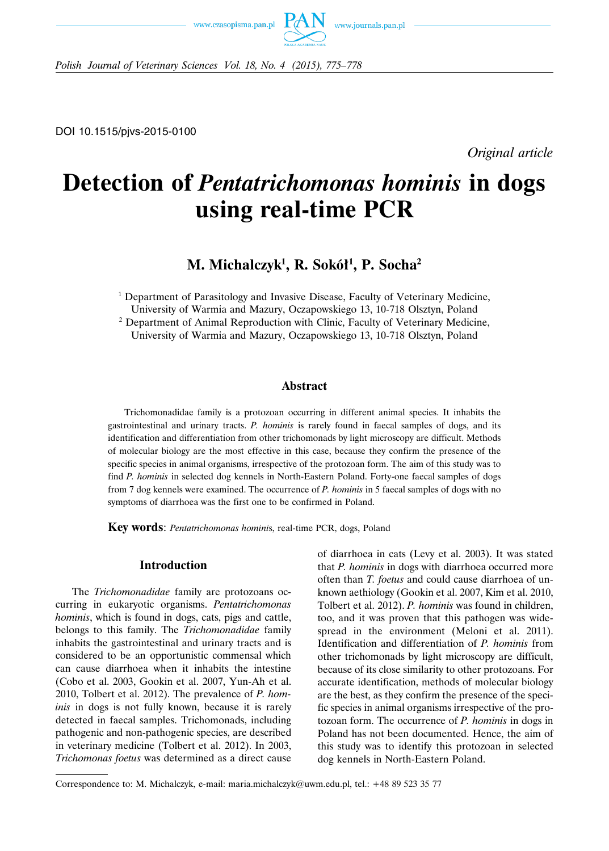



DOI 10.1515/pjvs-2015-0100

*Original article*

# **Detection of** *Pentatrichomonas hominis* **in dogs using real-time PCR**

**M. Michalczyk1 , R. Sokół1 , P. Socha2**

<sup>1</sup> Department of Parasitology and Invasive Disease, Faculty of Veterinary Medicine, University of Warmia and Mazury, Oczapowskiego 13, 10-718 Olsztyn, Poland <sup>2</sup> Department of Animal Reproduction with Clinic, Faculty of Veterinary Medicine, University of Warmia and Mazury, Oczapowskiego 13, 10-718 Olsztyn, Poland

### **Abstract**

Trichomonadidae family is a protozoan occurring in different animal species. It inhabits the gastrointestinal and urinary tracts. *P. hominis* is rarely found in faecal samples of dogs, and its identification and differentiation from other trichomonads by light microscopy are difficult. Methods of molecular biology are the most effective in this case, because they confirm the presence of the specific species in animal organisms, irrespective of the protozoan form. The aim of this study was to find *P. hominis* in selected dog kennels in North-Eastern Poland. Forty-one faecal samples of dogs from 7 dog kennels were examined. The occurrence of *P. hominis* in 5 faecal samples of dogs with no symptoms of diarrhoea was the first one to be confirmed in Poland.

**Key words**: *Pentatrichomonas homini*s, real-time PCR, dogs, Poland

## **Introduction**

The *Trichomonadidae* family are protozoans occurring in eukaryotic organisms. *Pentatrichomonas hominis*, which is found in dogs, cats, pigs and cattle, belongs to this family. The *Trichomonadidae* family inhabits the gastrointestinal and urinary tracts and is considered to be an opportunistic commensal which can cause diarrhoea when it inhabits the intestine (Cobo et al. 2003, Gookin et al. 2007, Yun-Ah et al. 2010, Tolbert et al. 2012). The prevalence of *P. hominis* in dogs is not fully known, because it is rarely detected in faecal samples. Trichomonads, including pathogenic and non-pathogenic species, are described in veterinary medicine (Tolbert et al. 2012). In 2003, *Trichomonas foetus* was determined as a direct cause of diarrhoea in cats (Levy et al. 2003). It was stated that *P. hominis* in dogs with diarrhoea occurred more often than *T. foetus* and could cause diarrhoea of unknown aethiology (Gookin et al. 2007, Kim et al. 2010, Tolbert et al. 2012). *P. hominis* was found in children, too, and it was proven that this pathogen was widespread in the environment (Meloni et al. 2011). Identification and differentiation of *P. hominis* from other trichomonads by light microscopy are difficult, because of its close similarity to other protozoans. For accurate identification, methods of molecular biology are the best, as they confirm the presence of the specific species in animal organisms irrespective of the protozoan form. The occurrence of *P. hominis* in dogs in Poland has not been documented. Hence, the aim of this study was to identify this protozoan in selected dog kennels in North-Eastern Poland.

Correspondence to: M. Michalczyk, e-mail: maria.michalczyk@uwm.edu.pl, tel.: +48 89 523 35 77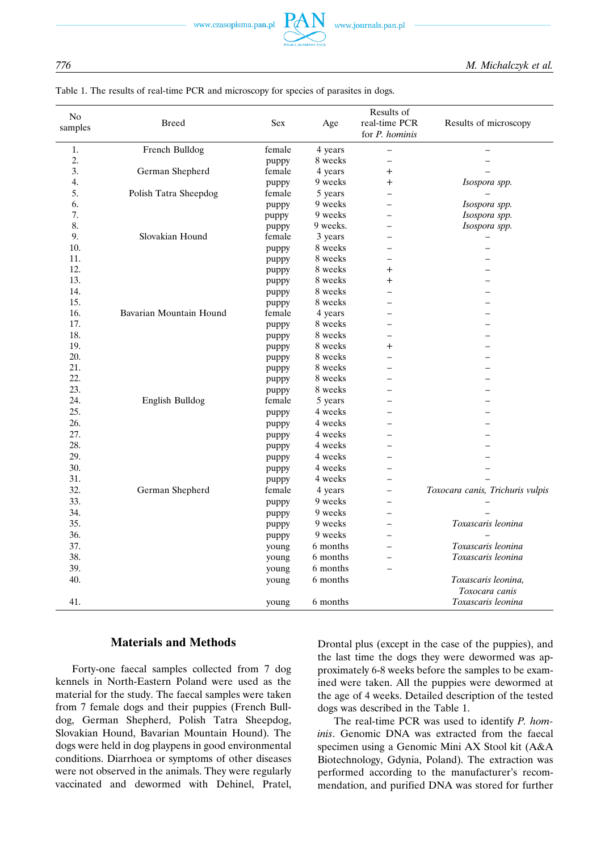www.czasopisma.pan.pl



| N <sub>0</sub><br>samples | <b>Breed</b>            | <b>Sex</b> | Age      | Results of<br>real-time PCR<br>for <i>P. hominis</i> | Results of microscopy            |
|---------------------------|-------------------------|------------|----------|------------------------------------------------------|----------------------------------|
| 1.                        | French Bulldog          | female     | 4 years  |                                                      |                                  |
| 2.                        |                         | puppy      | 8 weeks  | $\overline{\phantom{0}}$                             |                                  |
| 3.                        | German Shepherd         | female     | 4 years  | $\ddot{}$                                            |                                  |
| 4.                        |                         | puppy      | 9 weeks  | $\ddot{}$                                            | Isospora spp.                    |
| 5.                        | Polish Tatra Sheepdog   | female     | 5 years  | $\overline{\phantom{0}}$                             |                                  |
| 6.                        |                         | puppy      | 9 weeks  | $\overline{\phantom{0}}$                             | Isospora spp.                    |
| 7.                        |                         | puppy      | 9 weeks  | ⋍                                                    | Isospora spp.                    |
| 8.                        |                         | puppy      | 9 weeks. | ⋍                                                    | Isospora spp.                    |
| 9.                        | Slovakian Hound         | female     | 3 years  | $\overline{\phantom{0}}$                             |                                  |
| 10.                       |                         | puppy      | 8 weeks  |                                                      |                                  |
| 11.                       |                         | puppy      | 8 weeks  |                                                      |                                  |
| 12.                       |                         | puppy      | 8 weeks  | $\ddot{}$                                            |                                  |
| 13.                       |                         | puppy      | 8 weeks  | $\ddot{}$                                            |                                  |
| 14.                       |                         | puppy      | 8 weeks  | $\overline{\phantom{0}}$                             |                                  |
| 15.                       |                         | puppy      | 8 weeks  | $\overline{\phantom{0}}$                             |                                  |
| 16.                       | Bavarian Mountain Hound | female     | 4 years  |                                                      |                                  |
| 17.                       |                         | puppy      | 8 weeks  | $\overline{\phantom{0}}$                             |                                  |
| 18.                       |                         | puppy      | 8 weeks  | $\overline{\phantom{0}}$                             |                                  |
| 19.                       |                         | puppy      | 8 weeks  | $\ddot{}$                                            |                                  |
| 20.                       |                         | puppy      | 8 weeks  |                                                      |                                  |
| 21.                       |                         | puppy      | 8 weeks  |                                                      |                                  |
| 22.                       |                         | puppy      | 8 weeks  |                                                      |                                  |
| 23.                       |                         | puppy      | 8 weeks  |                                                      |                                  |
| 24.                       | English Bulldog         | female     | 5 years  |                                                      |                                  |
| 25.                       |                         | puppy      | 4 weeks  |                                                      |                                  |
| 26.                       |                         | puppy      | 4 weeks  |                                                      |                                  |
| 27.                       |                         | puppy      | 4 weeks  |                                                      |                                  |
| 28.                       |                         | puppy      | 4 weeks  |                                                      |                                  |
| 29.                       |                         | puppy      | 4 weeks  |                                                      |                                  |
| 30.                       |                         | puppy      | 4 weeks  |                                                      |                                  |
| 31.                       |                         | puppy      | 4 weeks  | $\overline{\phantom{0}}$                             |                                  |
| 32.                       | German Shepherd         | female     | 4 years  | $\overline{\phantom{0}}$                             | Toxocara canis, Trichuris vulpis |
| 33.                       |                         | puppy      | 9 weeks  | $\overline{a}$                                       |                                  |
| 34.                       |                         | puppy      | 9 weeks  |                                                      |                                  |
| 35.                       |                         | puppy      | 9 weeks  | ⋍                                                    | Toxascaris leonina               |
| 36.                       |                         | puppy      | 9 weeks  |                                                      |                                  |
| 37.                       |                         | young      | 6 months | $=$                                                  | Toxascaris leonina               |
| 38.                       |                         | young      | 6 months |                                                      | Toxascaris leonina               |
| 39.                       |                         | young      | 6 months |                                                      |                                  |
| 40.                       |                         | young      | 6 months |                                                      | Toxascaris leonina,              |
|                           |                         |            |          |                                                      | Toxocara canis                   |
| 41.                       |                         | young      | 6 months |                                                      | Toxascaris leonina               |

## Table 1. The results of real-time PCR and microscopy for species of parasites in dogs.

# **Materials and Methods**

Forty-one faecal samples collected from 7 dog kennels in North-Eastern Poland were used as the material for the study. The faecal samples were taken from 7 female dogs and their puppies (French Bulldog, German Shepherd, Polish Tatra Sheepdog, Slovakian Hound, Bavarian Mountain Hound). The dogs were held in dog playpens in good environmental conditions. Diarrhoea or symptoms of other diseases were not observed in the animals. They were regularly vaccinated and dewormed with Dehinel, Pratel, Drontal plus (except in the case of the puppies), and the last time the dogs they were dewormed was approximately 6-8 weeks before the samples to be examined were taken. All the puppies were dewormed at the age of 4 weeks. Detailed description of the tested dogs was described in the Table 1.

The real-time PCR was used to identify *P. hominis*. Genomic DNA was extracted from the faecal specimen using a Genomic Mini AX Stool kit (A&A Biotechnology, Gdynia, Poland). The extraction was performed according to the manufacturer's recommendation, and purified DNA was stored for further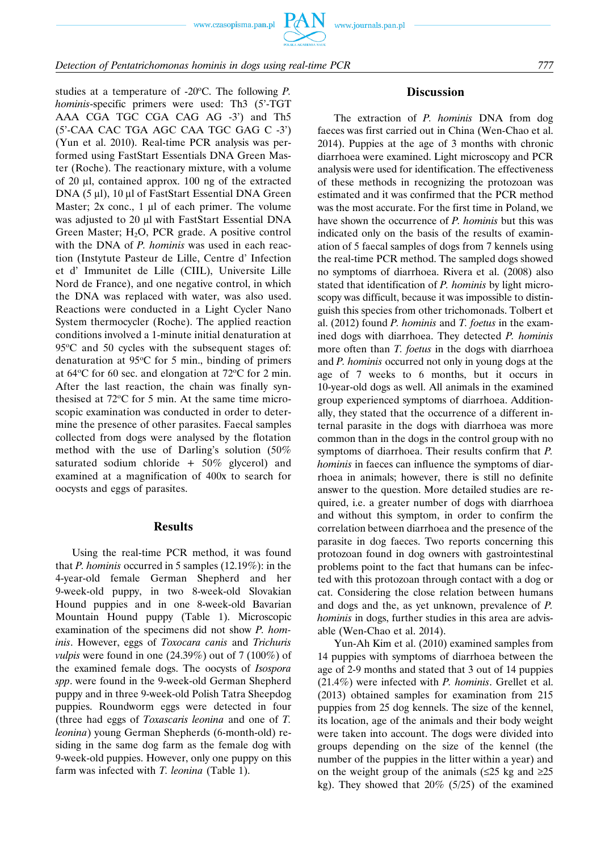www.czasopisma.pan.pl



studies at a temperature of -20°C. The following *P*. *hominis*-specific primers were used: Th<sub>3</sub> (5<sup>2</sup>-TGT) AAA CGA TGC CGA CAG AG -3') and Th5 (5'-CAA CAC TGA AGC CAA TGC GAG C -3') (Yun et al. 2010). Real-time PCR analysis was performed using FastStart Essentials DNA Green Master (Roche). The reactionary mixture, with a volume of 20 μl, contained approx. 100 ng of the extracted DNA (5 μl), 10 μl of FastStart Essential DNA Green Master; 2x conc., 1 μl of each primer. The volume was adjusted to 20 μl with FastStart Essential DNA Green Master; H<sub>2</sub>O, PCR grade. A positive control with the DNA of *P. hominis* was used in each reaction (Instytute Pasteur de Lille, Centre d' Infection et d' Immunitet de Lille (CIIL), Universite Lille Nord de France), and one negative control, in which the DNA was replaced with water, was also used. Reactions were conducted in a Light Cycler Nano System thermocycler (Roche). The applied reaction conditions involved a 1-minute initial denaturation at  $95^{\circ}$ C and 50 cycles with the subsequent stages of: denaturation at 95°C for 5 min., binding of primers at  $64^{\circ}$ C for 60 sec. and elongation at  $72^{\circ}$ C for 2 min. After the last reaction, the chain was finally synthesised at  $72^{\circ}$ C for 5 min. At the same time microscopic examination was conducted in order to determine the presence of other parasites. Faecal samples collected from dogs were analysed by the flotation method with the use of Darling's solution (50% saturated sodium chloride  $+50\%$  glycerol) and examined at a magnification of 400x to search for oocysts and eggs of parasites.

#### **Results**

Using the real-time PCR method, it was found that *P. hominis* occurred in 5 samples (12.19%): in the 4-year-old female German Shepherd and her 9-week-old puppy, in two 8-week-old Slovakian Hound puppies and in one 8-week-old Bavarian Mountain Hound puppy (Table 1). Microscopic examination of the specimens did not show *P. hominis*. However, eggs of *Toxocara canis* and *Trichuris vulpis* were found in one (24.39%) out of 7 (100%) of the examined female dogs. The oocysts of *Isospora spp*. were found in the 9-week-old German Shepherd puppy and in three 9-week-old Polish Tatra Sheepdog puppies. Roundworm eggs were detected in four (three had eggs of *Toxascaris leonina* and one of *T. leonina*) young German Shepherds (6-month-old) residing in the same dog farm as the female dog with 9-week-old puppies. However, only one puppy on this farm was infected with *T. leonina* (Table 1).

## **Discussion**

The extraction of *P. hominis* DNA from dog faeces was first carried out in China (Wen-Chao et al. 2014). Puppies at the age of 3 months with chronic diarrhoea were examined. Light microscopy and PCR analysis were used for identification. The effectiveness of these methods in recognizing the protozoan was estimated and it was confirmed that the PCR method was the most accurate. For the first time in Poland, we have shown the occurrence of *P. hominis* but this was indicated only on the basis of the results of examination of 5 faecal samples of dogs from 7 kennels using the real-time PCR method. The sampled dogs showed no symptoms of diarrhoea. Rivera et al. (2008) also stated that identification of *P. hominis* by light microscopy was difficult, because it was impossible to distinguish this species from other trichomonads. Tolbert et al. (2012) found *P. hominis* and *T. foetus* in the examined dogs with diarrhoea. They detected *P. hominis* more often than *T. foetus* in the dogs with diarrhoea and *P. hominis* occurred not only in young dogs at the age of 7 weeks to 6 months, but it occurs in 10-year-old dogs as well. All animals in the examined group experienced symptoms of diarrhoea. Additionally, they stated that the occurrence of a different internal parasite in the dogs with diarrhoea was more common than in the dogs in the control group with no symptoms of diarrhoea. Their results confirm that *P. hominis* in faeces can influence the symptoms of diarrhoea in animals; however, there is still no definite answer to the question. More detailed studies are required, i.e. a greater number of dogs with diarrhoea and without this symptom, in order to confirm the correlation between diarrhoea and the presence of the parasite in dog faeces. Two reports concerning this protozoan found in dog owners with gastrointestinal problems point to the fact that humans can be infected with this protozoan through contact with a dog or cat. Considering the close relation between humans and dogs and the, as yet unknown, prevalence of *P. hominis* in dogs, further studies in this area are advisable (Wen-Chao et al. 2014).

Yun-Ah Kim et al. (2010) examined samples from 14 puppies with symptoms of diarrhoea between the age of 2-9 months and stated that 3 out of 14 puppies (21.4%) were infected with *P. hominis*. Grellet et al. (2013) obtained samples for examination from 215 puppies from 25 dog kennels. The size of the kennel, its location, age of the animals and their body weight were taken into account. The dogs were divided into groups depending on the size of the kennel (the number of the puppies in the litter within a year) and on the weight group of the animals ( $\leq 25$  kg and  $\geq 25$ ) kg). They showed that  $20\%$  (5/25) of the examined